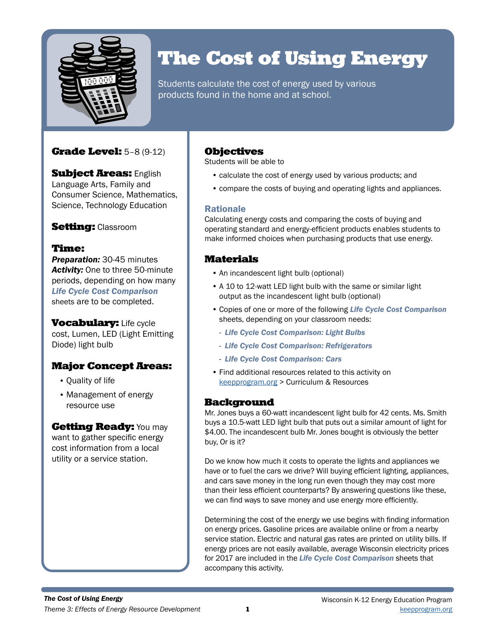

# The Cost of Using Energy

Students calculate the cost of energy used by various products found in the home and at school.

# Grade Level: 5–8 (9-12)

**Subject Areas: English** Language Arts, Family and Consumer Science, Mathematics, Science, Technology Education

# **Setting: Classroom**

# Time:

*Preparation:* 30-45 minutes *Activity:* One to three 50-minute periods, depending on how many *Life Cycle Cost Comparison*  sheets are to be completed.

**Vocabulary: Life cycle** cost, Lumen, LED (Light Emitting Diode) light bulb

# Major Concept Areas:

- Quality of life
- Management of energy resource use

# **Getting Ready: You may**

want to gather specific energy cost information from a local utility or a service station.

# **Objectives**

Students will be able to

- calculate the cost of energy used by various products; and
- compare the costs of buying and operating lights and appliances.

# Rationale

Calculating energy costs and comparing the costs of buying and operating standard and energy-efficient products enables students to make informed choices when purchasing products that use energy.

# Materials

- An incandescent light bulb (optional)
- A 10 to 12-watt LED light bulb with the same or similar light output as the incandescent light bulb (optional)
- Copies of one or more of the following *Life Cycle Cost Comparison*  sheets, depending on your classroom needs:
	- *Life Cycle Cost Comparison: Light Bulbs*
	- *Life Cycle Cost Comparison: Refrigerators*
	- *Life Cycle Cost Comparison: Cars*
- Find additional resources related to this activity on keepprogram.org > Curriculum & Resources

# **Background**

Mr. Jones buys a 60-watt incandescent light bulb for 42 cents. Ms. Smith buys a 10.5-watt LED light bulb that puts out a similar amount of light for \$4.00. The incandescent bulb Mr. Jones bought is obviously the better buy, Or is it?

Do we know how much it costs to operate the lights and appliances we have or to fuel the cars we drive? Will buying efficient lighting, appliances, and cars save money in the long run even though they may cost more than their less efficient counterparts? By answering questions like these, we can find ways to save money and use energy more efficiently.

Determining the cost of the energy we use begins with finding information on energy prices. Gasoline prices are available online or from a nearby service station. Electric and natural gas rates are printed on utility bills. If energy prices are not easily available, average Wisconsin electricity prices for 2017 are included in the *Life Cycle Cost Comparison* sheets that accompany this activity.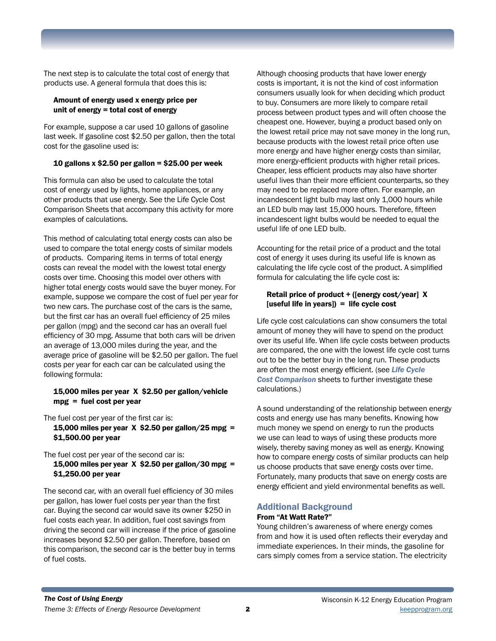The next step is to calculate the total cost of energy that products use. A general formula that does this is:

### Amount of energy used x energy price per unit of energy = total cost of energy

For example, suppose a car used 10 gallons of gasoline last week. If gasoline cost \$2.50 per gallon, then the total cost for the gasoline used is:

### 10 gallons x \$2.50 per gallon =  $$25.00$  per week

This formula can also be used to calculate the total cost of energy used by lights, home appliances, or any other products that use energy. See the Life Cycle Cost Comparison Sheets that accompany this activity for more examples of calculations.

This method of calculating total energy costs can also be used to compare the total energy costs of similar models of products. Comparing items in terms of total energy costs can reveal the model with the lowest total energy costs over time. Choosing this model over others with higher total energy costs would save the buyer money. For example, suppose we compare the cost of fuel per year for two new cars. The purchase cost of the cars is the same, but the first car has an overall fuel efficiency of 25 miles per gallon (mpg) and the second car has an overall fuel efficiency of 30 mpg. Assume that both cars will be driven an average of 13,000 miles during the year, and the average price of gasoline will be \$2.50 per gallon. The fuel costs per year for each car can be calculated using the following formula:

#### 15,000 miles per year X \$2.50 per gallon/vehicle mpg = fuel cost per year

The fuel cost per year of the first car is: 15,000 miles per year  $X$  \$2.50 per gallon/25 mpg = \$1,500.00 per year

The fuel cost per year of the second car is:

15,000 miles per year  $X$  \$2.50 per gallon/30 mpg = \$1,250.00 per year

The second car, with an overall fuel efficiency of 30 miles per gallon, has lower fuel costs per year than the first car. Buying the second car would save its owner \$250 in fuel costs each year. In addition, fuel cost savings from driving the second car will increase if the price of gasoline increases beyond \$2.50 per gallon. Therefore, based on this comparison, the second car is the better buy in terms of fuel costs.

Although choosing products that have lower energy costs is important, it is not the kind of cost information consumers usually look for when deciding which product to buy. Consumers are more likely to compare retail process between product types and will often choose the cheapest one. However, buying a product based only on the lowest retail price may not save money in the long run, because products with the lowest retail price often use more energy and have higher energy costs than similar, more energy-efficient products with higher retail prices. Cheaper, less efficient products may also have shorter useful lives than their more efficient counterparts, so they may need to be replaced more often. For example, an incandescent light bulb may last only 1,000 hours while an LED bulb may last 15,000 hours. Therefore, fifteen incandescent light bulbs would be needed to equal the useful life of one LED bulb.

Accounting for the retail price of a product and the total cost of energy it uses during its useful life is known as calculating the life cycle cost of the product. A simplified formula for calculating the life cycle cost is:

### Retail price of product + ([energy cost/year] X [useful life in years]) = life cycle cost

Life cycle cost calculations can show consumers the total amount of money they will have to spend on the product over its useful life. When life cycle costs between products are compared, the one with the lowest life cycle cost turns out to be the better buy in the long run. These products are often the most energy efficient. (see *Life Cycle Cost Comparison* sheets to further investigate these calculations.)

A sound understanding of the relationship between energy costs and energy use has many benefits. Knowing how much money we spend on energy to run the products we use can lead to ways of using these products more wisely, thereby saving money as well as energy. Knowing how to compare energy costs of similar products can help us choose products that save energy costs over time. Fortunately, many products that save on energy costs are energy efficient and yield environmental benefits as well.

## Additional Background

#### From "At Watt Rate?"

Young children's awareness of where energy comes from and how it is used often reflects their everyday and immediate experiences. In their minds, the gasoline for cars simply comes from a service station. The electricity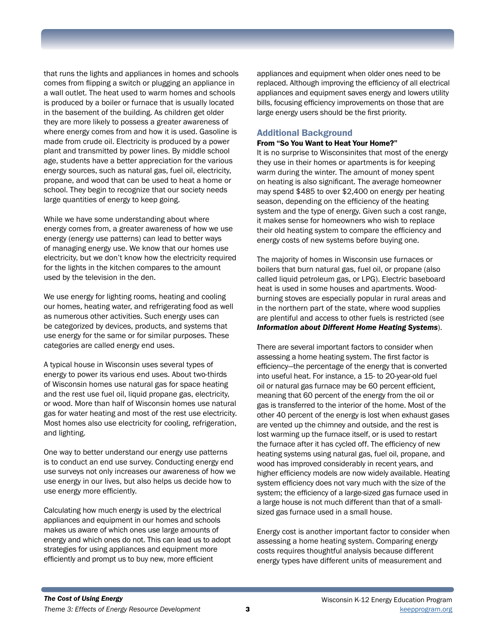that runs the lights and appliances in homes and schools comes from flipping a switch or plugging an appliance in a wall outlet. The heat used to warm homes and schools is produced by a boiler or furnace that is usually located in the basement of the building. As children get older they are more likely to possess a greater awareness of where energy comes from and how it is used. Gasoline is made from crude oil. Electricity is produced by a power plant and transmitted by power lines. By middle school age, students have a better appreciation for the various energy sources, such as natural gas, fuel oil, electricity, propane, and wood that can be used to heat a home or school. They begin to recognize that our society needs large quantities of energy to keep going.

While we have some understanding about where energy comes from, a greater awareness of how we use energy (energy use patterns) can lead to better ways of managing energy use. We know that our homes use electricity, but we don't know how the electricity required for the lights in the kitchen compares to the amount used by the television in the den.

We use energy for lighting rooms, heating and cooling our homes, heating water, and refrigerating food as well as numerous other activities. Such energy uses can be categorized by devices, products, and systems that use energy for the same or for similar purposes. These categories are called energy end uses.

A typical house in Wisconsin uses several types of energy to power its various end uses. About two-thirds of Wisconsin homes use natural gas for space heating and the rest use fuel oil, liquid propane gas, electricity, or wood. More than half of Wisconsin homes use natural gas for water heating and most of the rest use electricity. Most homes also use electricity for cooling, refrigeration, and lighting.

One way to better understand our energy use patterns is to conduct an end use survey. Conducting energy end use surveys not only increases our awareness of how we use energy in our lives, but also helps us decide how to use energy more efficiently.

Calculating how much energy is used by the electrical appliances and equipment in our homes and schools makes us aware of which ones use large amounts of energy and which ones do not. This can lead us to adopt strategies for using appliances and equipment more efficiently and prompt us to buy new, more efficient

appliances and equipment when older ones need to be replaced. Although improving the efficiency of all electrical appliances and equipment saves energy and lowers utility bills, focusing efficiency improvements on those that are large energy users should be the first priority.

### Additional Background

#### From "So You Want to Heat Your Home?"

It is no surprise to Wisconsinites that most of the energy they use in their homes or apartments is for keeping warm during the winter. The amount of money spent on heating is also significant. The average homeowner may spend \$485 to over \$2,400 on energy per heating season, depending on the efficiency of the heating system and the type of energy. Given such a cost range, it makes sense for homeowners who wish to replace their old heating system to compare the efficiency and energy costs of new systems before buying one.

The majority of homes in Wisconsin use furnaces or boilers that burn natural gas, fuel oil, or propane (also called liquid petroleum gas, or LPG). Electric baseboard heat is used in some houses and apartments. Woodburning stoves are especially popular in rural areas and in the northern part of the state, where wood supplies are plentiful and access to other fuels is restricted (see *Information about Different Home Heating Systems*).

There are several important factors to consider when assessing a home heating system. The first factor is efficiency—the percentage of the energy that is converted into useful heat. For instance, a 15- to 20-year-old fuel oil or natural gas furnace may be 60 percent efficient, meaning that 60 percent of the energy from the oil or gas is transferred to the interior of the home. Most of the other 40 percent of the energy is lost when exhaust gases are vented up the chimney and outside, and the rest is lost warming up the furnace itself, or is used to restart the furnace after it has cycled off. The efficiency of new heating systems using natural gas, fuel oil, propane, and wood has improved considerably in recent years, and higher efficiency models are now widely available. Heating system efficiency does not vary much with the size of the system; the efficiency of a large-sized gas furnace used in a large house is not much different than that of a smallsized gas furnace used in a small house.

Energy cost is another important factor to consider when assessing a home heating system. Comparing energy costs requires thoughtful analysis because different energy types have different units of measurement and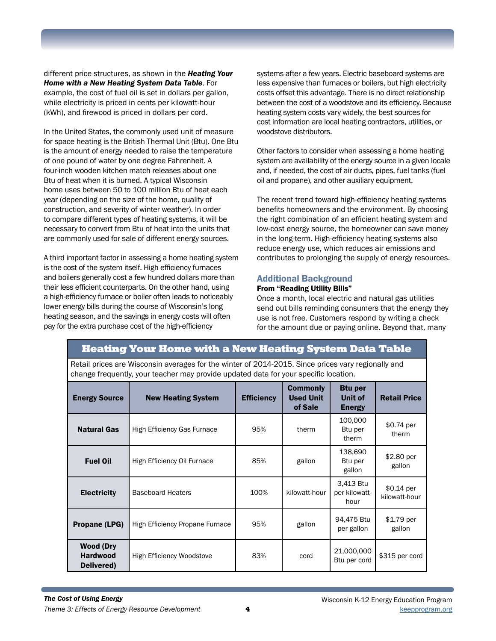different price structures, as shown in the *Heating Your Home with a New Heating System Data Table*. For example, the cost of fuel oil is set in dollars per gallon, while electricity is priced in cents per kilowatt-hour (kWh), and firewood is priced in dollars per cord.

In the United States, the commonly used unit of measure for space heating is the British Thermal Unit (Btu). One Btu is the amount of energy needed to raise the temperature of one pound of water by one degree Fahrenheit. A four-inch wooden kitchen match releases about one Btu of heat when it is burned. A typical Wisconsin home uses between 50 to 100 million Btu of heat each year (depending on the size of the home, quality of construction, and severity of winter weather). In order to compare different types of heating systems, it will be necessary to convert from Btu of heat into the units that are commonly used for sale of different energy sources.

A third important factor in assessing a home heating system is the cost of the system itself. High efficiency furnaces and boilers generally cost a few hundred dollars more than their less efficient counterparts. On the other hand, using a high-efficiency furnace or boiler often leads to noticeably lower energy bills during the course of Wisconsin's long heating season, and the savings in energy costs will often pay for the extra purchase cost of the high-efficiency

systems after a few years. Electric baseboard systems are less expensive than furnaces or boilers, but high electricity costs offset this advantage. There is no direct relationship between the cost of a woodstove and its efficiency. Because heating system costs vary widely, the best sources for cost information are local heating contractors, utilities, or woodstove distributors.

Other factors to consider when assessing a home heating system are availability of the energy source in a given locale and, if needed, the cost of air ducts, pipes, fuel tanks (fuel oil and propane), and other auxiliary equipment.

The recent trend toward high-efficiency heating systems benefits homeowners and the environment. By choosing the right combination of an efficient heating system and low-cost energy source, the homeowner can save money in the long-term. High-efficiency heating systems also reduce energy use, which reduces air emissions and contributes to prolonging the supply of energy resources.

### Additional Background

### From "Reading Utility Bills"

Once a month, local electric and natural gas utilities send out bills reminding consumers that the energy they use is not free. Customers respond by writing a check for the amount due or paying online. Beyond that, many

# Heating Your Home with a New Heating System Data Table

Retail prices are Wisconsin averages for the winter of 2014-2015. Since prices vary regionally and change frequently, your teacher may provide updated data for your specific location.

| <b>Energy Source</b>                              | <b>New Heating System</b>          | <b>Efficiency</b> | <b>Commonly</b><br><b>Used Unit</b><br>of Sale | <b>Btu per</b><br>Unit of<br><b>Energy</b> | <b>Retail Price</b>          |
|---------------------------------------------------|------------------------------------|-------------------|------------------------------------------------|--------------------------------------------|------------------------------|
| <b>Natural Gas</b>                                | <b>High Efficiency Gas Furnace</b> | 95%               | therm                                          | 100,000<br>Btu per<br>therm                | $$0.74$ per<br>therm         |
| <b>Fuel Oil</b>                                   | High Efficiency Oil Furnace        | 85%               | gallon                                         | 138,690<br>Btu per<br>gallon               | \$2.80 per<br>gallon         |
| <b>Electricity</b>                                | <b>Baseboard Heaters</b>           | 100%              | kilowatt-hour                                  | 3.413 Btu<br>per kilowatt-<br>hour         | $$0.14$ per<br>kilowatt-hour |
| Propane (LPG)                                     | High Efficiency Propane Furnace    | 95%               | gallon                                         | 94,475 Btu<br>per gallon                   | $$1.79$ per<br>gallon        |
| <b>Wood (Dry</b><br><b>Hardwood</b><br>Delivered) | <b>High Efficiency Woodstove</b>   | 83%               | cord                                           | 21,000,000<br>Btu per cord                 | \$315 per cord               |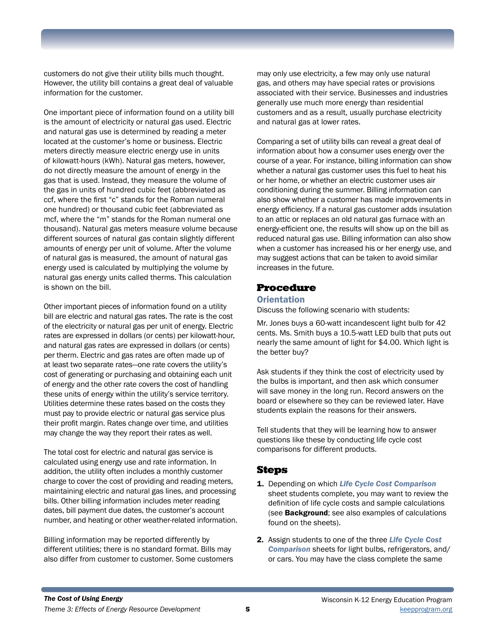customers do not give their utility bills much thought. However, the utility bill contains a great deal of valuable information for the customer.

One important piece of information found on a utility bill is the amount of electricity or natural gas used. Electric and natural gas use is determined by reading a meter located at the customer's home or business. Electric meters directly measure electric energy use in units of kilowatt-hours (kWh). Natural gas meters, however, do not directly measure the amount of energy in the gas that is used. Instead, they measure the volume of the gas in units of hundred cubic feet (abbreviated as ccf, where the first "c" stands for the Roman numeral one hundred) or thousand cubic feet (abbreviated as mcf, where the "m" stands for the Roman numeral one thousand). Natural gas meters measure volume because different sources of natural gas contain slightly different amounts of energy per unit of volume. After the volume of natural gas is measured, the amount of natural gas energy used is calculated by multiplying the volume by natural gas energy units called therms. This calculation is shown on the bill.

Other important pieces of information found on a utility bill are electric and natural gas rates. The rate is the cost of the electricity or natural gas per unit of energy. Electric rates are expressed in dollars (or cents) per kilowatt-hour, and natural gas rates are expressed in dollars (or cents) per therm. Electric and gas rates are often made up of at least two separate rates—one rate covers the utility's cost of generating or purchasing and obtaining each unit of energy and the other rate covers the cost of handling these units of energy within the utility's service territory. Utilities determine these rates based on the costs they must pay to provide electric or natural gas service plus their profit margin. Rates change over time, and utilities may change the way they report their rates as well.

The total cost for electric and natural gas service is calculated using energy use and rate information. In addition, the utility often includes a monthly customer charge to cover the cost of providing and reading meters, maintaining electric and natural gas lines, and processing bills. Other billing information includes meter reading dates, bill payment due dates, the customer's account number, and heating or other weather-related information.

Billing information may be reported differently by different utilities; there is no standard format. Bills may also differ from customer to customer. Some customers

may only use electricity, a few may only use natural gas, and others may have special rates or provisions associated with their service. Businesses and industries generally use much more energy than residential customers and as a result, usually purchase electricity and natural gas at lower rates.

Comparing a set of utility bills can reveal a great deal of information about how a consumer uses energy over the course of a year. For instance, billing information can show whether a natural gas customer uses this fuel to heat his or her home, or whether an electric customer uses air conditioning during the summer. Billing information can also show whether a customer has made improvements in energy efficiency. If a natural gas customer adds insulation to an attic or replaces an old natural gas furnace with an energy-efficient one, the results will show up on the bill as reduced natural gas use. Billing information can also show when a customer has increased his or her energy use, and may suggest actions that can be taken to avoid similar increases in the future.

## Procedure

#### **Orientation**

Discuss the following scenario with students:

Mr. Jones buys a 60-watt incandescent light bulb for 42 cents. Ms. Smith buys a 10.5-watt LED bulb that puts out nearly the same amount of light for \$4.00. Which light is the better buy?

Ask students if they think the cost of electricity used by the bulbs is important, and then ask which consumer will save money in the long run. Record answers on the board or elsewhere so they can be reviewed later. Have students explain the reasons for their answers.

Tell students that they will be learning how to answer questions like these by conducting life cycle cost comparisons for different products.

# **Steps**

- 1. Depending on which *Life Cycle Cost Comparison*  sheet students complete, you may want to review the definition of life cycle costs and sample calculations (see **Background**; see also examples of calculations found on the sheets).
- 2. Assign students to one of the three *Life Cycle Cost Comparison* sheets for light bulbs, refrigerators, and/ or cars. You may have the class complete the same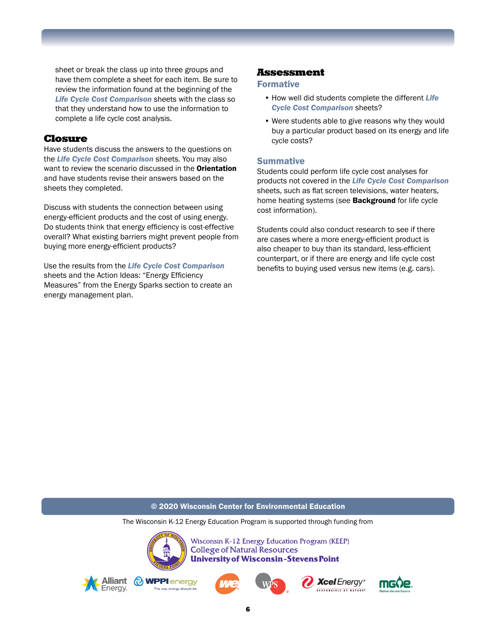sheet or break the class up into three groups and have them complete a sheet for each item. Be sure to review the information found at the beginning of the *Life Cycle Cost Comparison* sheets with the class so that they understand how to use the information to complete a life cycle cost analysis.

### Closure

Have students discuss the answers to the questions on the *Life Cycle Cost Comparison* sheets. You may also want to review the scenario discussed in the **Orientation** and have students revise their answers based on the sheets they completed.

Discuss with students the connection between using energy-efficient products and the cost of using energy. Do students think that energy efficiency is cost-effective overall? What existing barriers might prevent people from buying more energy-efficient products?

Use the results from the *Life Cycle Cost Comparison*  sheets and the Action Ideas: "Energy Efficiency Measures" from the Energy Sparks section to create an energy management plan.

### Assessment

### Formative

- How well did students complete the different *Life Cycle Cost Comparison* sheets?
- Were students able to give reasons why they would buy a particular product based on its energy and life cycle costs?

### **Summative**

Students could perform life cycle cost analyses for products not covered in the *Life Cycle Cost Comparison*  sheets, such as flat screen televisions, water heaters, home heating systems (see **Background** for life cycle cost information).

Students could also conduct research to see if there are cases where a more energy-efficient product is also cheaper to buy than its standard, less-efficient counterpart, or if there are energy and life cycle cost benefits to buying used versus new items (e.g. cars).

#### © 2020 Wisconsin Center for Environmental Education

The Wisconsin K-12 Energy Education Program is supported through funding from



Wisconsin K-12 Energy Education Program (KEEP) **College of Natural Resources University of Wisconsin-Stevens Point** 











6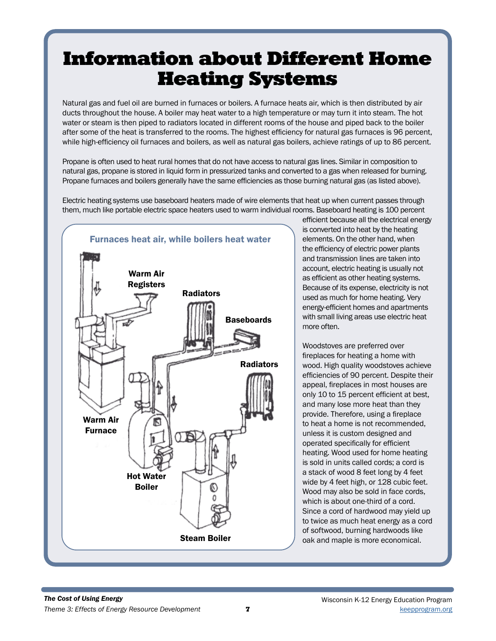# Information about Different Home Heating Systems

Natural gas and fuel oil are burned in furnaces or boilers. A furnace heats air, which is then distributed by air ducts throughout the house. A boiler may heat water to a high temperature or may turn it into steam. The hot water or steam is then piped to radiators located in different rooms of the house and piped back to the boiler after some of the heat is transferred to the rooms. The highest efficiency for natural gas furnaces is 96 percent, while high-efficiency oil furnaces and boilers, as well as natural gas boilers, achieve ratings of up to 86 percent.

Propane is often used to heat rural homes that do not have access to natural gas lines. Similar in composition to natural gas, propane is stored in liquid form in pressurized tanks and converted to a gas when released for burning. Propane furnaces and boilers generally have the same efficiencies as those burning natural gas (as listed above).

Electric heating systems use baseboard heaters made of wire elements that heat up when current passes through them, much like portable electric space heaters used to warm individual rooms. Baseboard heating is 100 percent



efficient because all the electrical energy is converted into heat by the heating elements. On the other hand, when the efficiency of electric power plants and transmission lines are taken into account, electric heating is usually not as efficient as other heating systems. Because of its expense, electricity is not used as much for home heating. Very energy-efficient homes and apartments with small living areas use electric heat more often.

Woodstoves are preferred over fireplaces for heating a home with wood. High quality woodstoves achieve efficiencies of 90 percent. Despite their appeal, fireplaces in most houses are only 10 to 15 percent efficient at best, and many lose more heat than they provide. Therefore, using a fireplace to heat a home is not recommended, unless it is custom designed and operated specifically for efficient heating. Wood used for home heating is sold in units called cords; a cord is a stack of wood 8 feet long by 4 feet wide by 4 feet high, or 128 cubic feet. Wood may also be sold in face cords. which is about one-third of a cord. Since a cord of hardwood may yield up to twice as much heat energy as a cord of softwood, burning hardwoods like **Steam Boiler**  $\log \theta$  oak and maple is more economical.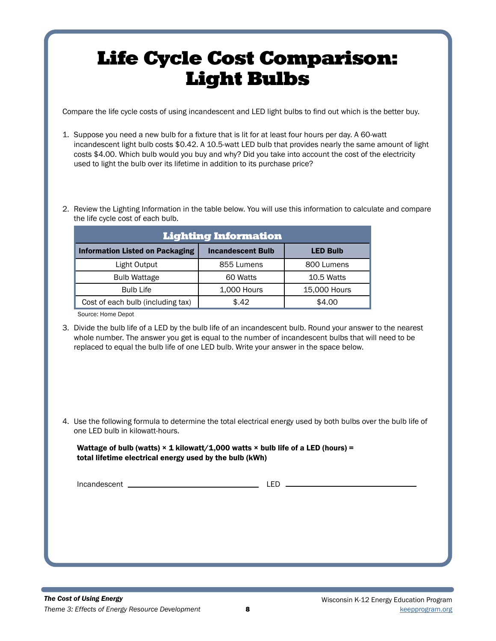# Life Cycle Cost Comparison: Light Bulbs

Compare the life cycle costs of using incandescent and LED light bulbs to find out which is the better buy.

- 1. Suppose you need a new bulb for a fixture that is lit for at least four hours per day. A 60-watt incandescent light bulb costs \$0.42. A 10.5-watt LED bulb that provides nearly the same amount of light costs \$4.00. Which bulb would you buy and why? Did you take into account the cost of the electricity used to light the bulb over its lifetime in addition to its purchase price?
- 2. Review the Lighting Information in the table below. You will use this information to calculate and compare the life cycle cost of each bulb.

| <b>Lighting Information</b>            |                          |                 |  |
|----------------------------------------|--------------------------|-----------------|--|
| <b>Information Listed on Packaging</b> | <b>Incandescent Bulb</b> | <b>LED Bulb</b> |  |
| Light Output                           | 855 Lumens               | 800 Lumens      |  |
| <b>Bulb Wattage</b>                    | 60 Watts                 | 10.5 Watts      |  |
| <b>Bulb Life</b>                       | 1,000 Hours              | 15,000 Hours    |  |
| Cost of each bulb (including tax)      | \$.42                    | \$4.00          |  |

Source: Home Depot

- 3. Divide the bulb life of a LED by the bulb life of an incandescent bulb. Round your answer to the nearest whole number. The answer you get is equal to the number of incandescent bulbs that will need to be replaced to equal the bulb life of one LED bulb. Write your answer in the space below.
- 4. Use the following formula to determine the total electrical energy used by both bulbs over the bulb life of one LED bulb in kilowatt-hours.

### Wattage of bulb (watts)  $\times$  1 kilowatt/1,000 watts  $\times$  bulb life of a LED (hours) = total lifetime electrical energy used by the bulb (kWh)

Incandescent LED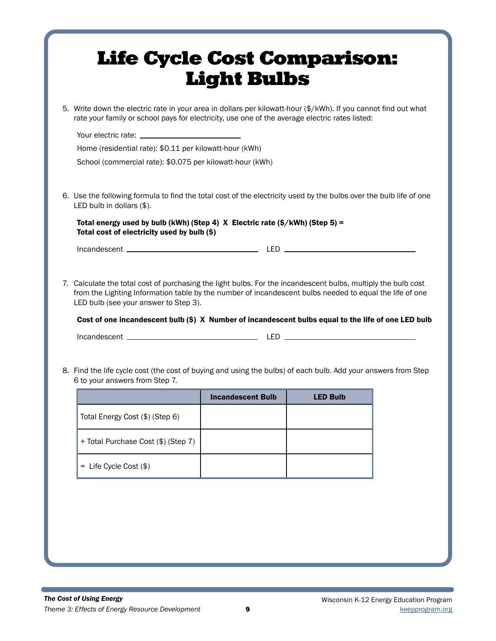|                                |                                                         | rate your family or school pays for electricity, use one of the average electric rates listed:                                                                                                                                                                                                                                  |                 | 5. Write down the electric rate in your area in dollars per kilowatt-hour (\$/kWh). If you cannot find out what |
|--------------------------------|---------------------------------------------------------|---------------------------------------------------------------------------------------------------------------------------------------------------------------------------------------------------------------------------------------------------------------------------------------------------------------------------------|-----------------|-----------------------------------------------------------------------------------------------------------------|
|                                | Your electric rate: New Your electric rate:             |                                                                                                                                                                                                                                                                                                                                 |                 |                                                                                                                 |
|                                | Home (residential rate): \$0.11 per kilowatt-hour (kWh) |                                                                                                                                                                                                                                                                                                                                 |                 |                                                                                                                 |
|                                |                                                         | School (commercial rate): \$0.075 per kilowatt-hour (kWh)                                                                                                                                                                                                                                                                       |                 |                                                                                                                 |
| LED bulb in dollars (\$).      |                                                         | 6. Use the following formula to find the total cost of the electricity used by the bulbs over the bulb life of one                                                                                                                                                                                                              |                 |                                                                                                                 |
|                                | Total cost of electricity used by bulb (\$)             | Total energy used by bulb (kWh) (Step 4) $X$ Electric rate (\$/kWh) (Step 5) =                                                                                                                                                                                                                                                  |                 |                                                                                                                 |
|                                |                                                         |                                                                                                                                                                                                                                                                                                                                 |                 |                                                                                                                 |
|                                | LED bulb (see your answer to Step 3).                   | 7. Calculate the total cost of purchasing the light bulbs. For the incandescent bulbs, multiply the bulb cost<br>from the Lighting Information table by the number of incandescent bulbs needed to equal the life of one<br>Cost of one incandescent bulb (\$) X Number of incandescent bulbs equal to the life of one LED bulb |                 |                                                                                                                 |
|                                |                                                         | 8. Find the life cycle cost (the cost of buying and using the bulbs) of each bulb. Add your answers from Step                                                                                                                                                                                                                   |                 |                                                                                                                 |
| 6 to your answers from Step 7. |                                                         | <b>Incandescent Bulb</b>                                                                                                                                                                                                                                                                                                        | <b>LED Bulb</b> |                                                                                                                 |
|                                | Total Energy Cost (\$) (Step 6)                         |                                                                                                                                                                                                                                                                                                                                 |                 |                                                                                                                 |
|                                | + Total Purchase Cost (\$) (Step 7)                     |                                                                                                                                                                                                                                                                                                                                 |                 |                                                                                                                 |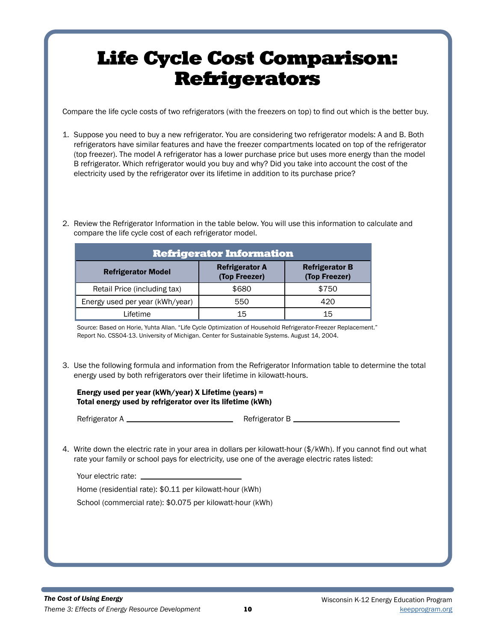# Life Cycle Cost Comparison: **Refrigerators**

Compare the life cycle costs of two refrigerators (with the freezers on top) to find out which is the better buy.

- 1. Suppose you need to buy a new refrigerator. You are considering two refrigerator models: A and B. Both refrigerators have similar features and have the freezer compartments located on top of the refrigerator (top freezer). The model A refrigerator has a lower purchase price but uses more energy than the model B refrigerator. Which refrigerator would you buy and why? Did you take into account the cost of the electricity used by the refrigerator over its lifetime in addition to its purchase price?
- 2. Review the Refrigerator Information in the table below. You will use this information to calculate and compare the life cycle cost of each refrigerator model.

| <b>Refrigerator Information</b> |                                        |                                        |  |
|---------------------------------|----------------------------------------|----------------------------------------|--|
| <b>Refrigerator Model</b>       | <b>Refrigerator A</b><br>(Top Freezer) | <b>Refrigerator B</b><br>(Top Freezer) |  |
| Retail Price (including tax)    | \$680                                  | \$750                                  |  |
| Energy used per year (kWh/year) | 550                                    | 420                                    |  |
| Lifetime                        | 15                                     | 15                                     |  |

Source: Based on Horie, Yuhta Allan. "Life Cycle Optimization of Household Refrigerator-Freezer Replacement." Report No. CSS04-13. University of Michigan. Center for Sustainable Systems. August 14, 2004.

3. Use the following formula and information from the Refrigerator Information table to determine the total energy used by both refrigerators over their lifetime in kilowatt-hours.

### Energy used per year (kWh/year) X Lifetime (years) = Total energy used by refrigerator over its lifetime (kWh)

Refrigerator A Refrigerator B

4. Write down the electric rate in your area in dollars per kilowatt-hour (\$/kWh). If you cannot find out what rate your family or school pays for electricity, use one of the average electric rates listed:

| Your electric rate:             |  |
|---------------------------------|--|
| Home (residential rate): \$0.11 |  |

Home (residential rate): \$0.11 per kilowatt-hour (kWh)

School (commercial rate): \$0.075 per kilowatt-hour (kWh)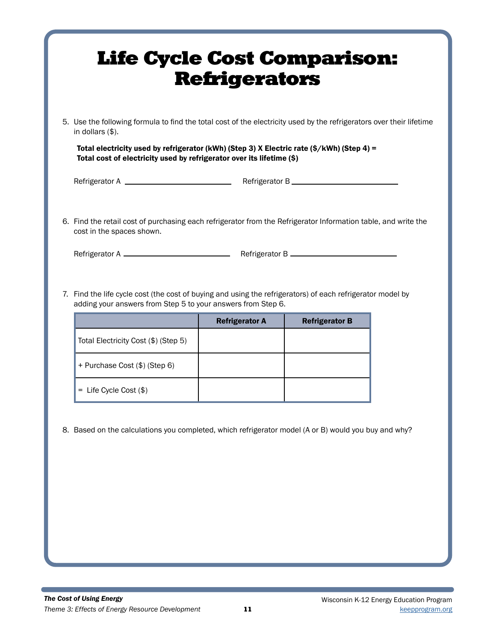| <b>Life Cycle Cost Comparison:</b>                                                                                                                                                                                                                                                                                        | <b>Refrigerators</b>  |                       |  |
|---------------------------------------------------------------------------------------------------------------------------------------------------------------------------------------------------------------------------------------------------------------------------------------------------------------------------|-----------------------|-----------------------|--|
| 5. Use the following formula to find the total cost of the electricity used by the refrigerators over their lifetime<br>in dollars $(\$)$ .                                                                                                                                                                               |                       |                       |  |
| Total electricity used by refrigerator (kWh) (Step 3) X Electric rate (\$/kWh) (Step 4) =<br>Total cost of electricity used by refrigerator over its lifetime (\$)                                                                                                                                                        |                       |                       |  |
|                                                                                                                                                                                                                                                                                                                           |                       |                       |  |
| 6. Find the retail cost of purchasing each refrigerator from the Refrigerator Information table, and write the<br>cost in the spaces shown.<br>7. Find the life cycle cost (the cost of buying and using the refrigerators) of each refrigerator model by<br>adding your answers from Step 5 to your answers from Step 6. |                       |                       |  |
|                                                                                                                                                                                                                                                                                                                           | <b>Refrigerator A</b> | <b>Refrigerator B</b> |  |
| Total Electricity Cost (\$) (Step 5)                                                                                                                                                                                                                                                                                      |                       |                       |  |
| + Purchase Cost (\$) (Step 6)                                                                                                                                                                                                                                                                                             |                       |                       |  |
| $=$ Life Cycle Cost $(\$)$                                                                                                                                                                                                                                                                                                |                       |                       |  |
| 8. Based on the calculations you completed, which refrigerator model (A or B) would you buy and why?                                                                                                                                                                                                                      |                       |                       |  |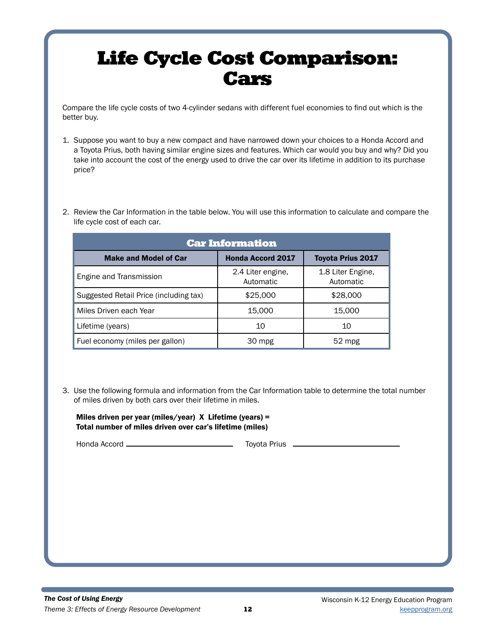# Life Cycle Cost Comparison: Cars

Compare the life cycle costs of two 4-cylinder sedans with different fuel economies to find out which is the better buy.

- 1. Suppose you want to buy a new compact and have narrowed down your choices to a Honda Accord and a Toyota Prius, both having similar engine sizes and features. Which car would you buy and why? Did you take into account the cost of the energy used to drive the car over its lifetime in addition to its purchase price?
- 2. Review the Car Information in the table below. You will use this information to calculate and compare the life cycle cost of each car.

| <b>Car Information</b>                 |                                |                                |  |
|----------------------------------------|--------------------------------|--------------------------------|--|
| <b>Make and Model of Car</b>           | <b>Honda Accord 2017</b>       | <b>Toyota Prius 2017</b>       |  |
| Engine and Transmission                | 2.4 Liter engine.<br>Automatic | 1.8 Liter Engine,<br>Automatic |  |
| Suggested Retail Price (including tax) | \$25,000                       | \$28,000                       |  |
| Miles Driven each Year                 | 15,000                         | 15,000                         |  |
| Lifetime (years)                       | 10                             | 10                             |  |
| Fuel economy (miles per gallon)        | 30 mpg                         | $52$ mpg                       |  |

3. Use the following formula and information from the Car Information table to determine the total number of miles driven by both cars over their lifetime in miles.

Miles driven per year (miles/year) X Lifetime (years) = Total number of miles driven over car's lifetime (miles)

Honda Accord Toyota Prius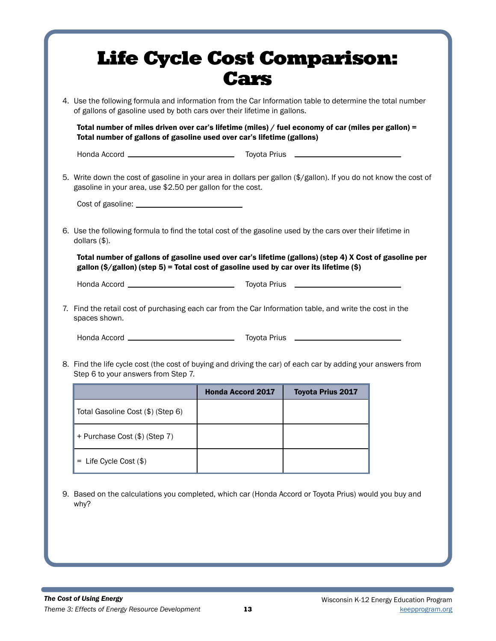|                                                                                                                                                                                                   | of gallons of gasoline used by both cars over their lifetime in gallons. | 4. Use the following formula and information from the Car Information table to determine the total number |  |
|---------------------------------------------------------------------------------------------------------------------------------------------------------------------------------------------------|--------------------------------------------------------------------------|-----------------------------------------------------------------------------------------------------------|--|
| Total number of miles driven over car's lifetime (miles) / fuel economy of car (miles per gallon) =<br>Total number of gallons of gasoline used over car's lifetime (gallons)                     |                                                                          |                                                                                                           |  |
|                                                                                                                                                                                                   |                                                                          |                                                                                                           |  |
| 5. Write down the cost of gasoline in your area in dollars per gallon (\$/gallon). If you do not know the cost of<br>gasoline in your area, use \$2.50 per gallon for the cost.                   |                                                                          |                                                                                                           |  |
|                                                                                                                                                                                                   |                                                                          |                                                                                                           |  |
| 6. Use the following formula to find the total cost of the gasoline used by the cars over their lifetime in<br>dollars $(\$)$ .                                                                   |                                                                          |                                                                                                           |  |
| Total number of gallons of gasoline used over car's lifetime (gallons) (step 4) X Cost of gasoline per<br>gallon (\$/gallon) (step 5) = Total cost of gasoline used by car over its lifetime (\$) |                                                                          |                                                                                                           |  |
|                                                                                                                                                                                                   |                                                                          |                                                                                                           |  |
| 7. Find the retail cost of purchasing each car from the Car Information table, and write the cost in the<br>spaces shown.                                                                         |                                                                          |                                                                                                           |  |
|                                                                                                                                                                                                   |                                                                          |                                                                                                           |  |
|                                                                                                                                                                                                   |                                                                          |                                                                                                           |  |
| 8. Find the life cycle cost (the cost of buying and driving the car) of each car by adding your answers from<br>Step 6 to your answers from Step 7.                                               |                                                                          |                                                                                                           |  |
|                                                                                                                                                                                                   | <b>Honda Accord 2017</b>                                                 | <b>Toyota Prius 2017</b>                                                                                  |  |
| Total Gasoline Cost (\$) (Step 6)                                                                                                                                                                 |                                                                          |                                                                                                           |  |
| + Purchase Cost (\$) (Step 7)                                                                                                                                                                     |                                                                          |                                                                                                           |  |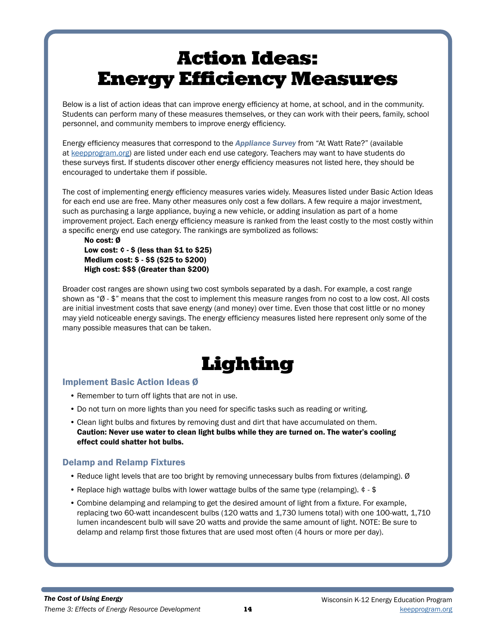Below is a list of action ideas that can improve energy efficiency at home, at school, and in the community. Students can perform many of these measures themselves, or they can work with their peers, family, school personnel, and community members to improve energy efficiency.

Energy efficiency measures that correspond to the *Appliance Survey* from "At Watt Rate?" (available at keepprogram.org) are listed under each end use category. Teachers may want to have students do these surveys first. If students discover other energy efficiency measures not listed here, they should be encouraged to undertake them if possible.

The cost of implementing energy efficiency measures varies widely. Measures listed under Basic Action Ideas for each end use are free. Many other measures only cost a few dollars. A few require a major investment, such as purchasing a large appliance, buying a new vehicle, or adding insulation as part of a home improvement project. Each energy efficiency measure is ranked from the least costly to the most costly within a specific energy end use category. The rankings are symbolized as follows:

No cost: Ø Low cost:  $\phi$  -  $\phi$  (less than  $\$1$  to  $\$25$ ) Medium cost: \$ - \$\$ (\$25 to \$200) High cost: \$\$\$ (Greater than \$200)

Broader cost ranges are shown using two cost symbols separated by a dash. For example, a cost range shown as "Ø - \$" means that the cost to implement this measure ranges from no cost to a low cost. All costs are initial investment costs that save energy (and money) over time. Even those that cost little or no money may yield noticeable energy savings. The energy efficiency measures listed here represent only some of the many possible measures that can be taken.

# Lighting

### Implement Basic Action Ideas Ø

- Remember to turn off lights that are not in use.
- Do not turn on more lights than you need for specific tasks such as reading or writing.
- Clean light bulbs and fixtures by removing dust and dirt that have accumulated on them. Caution: Never use water to clean light bulbs while they are turned on. The water's cooling effect could shatter hot bulbs.

## Delamp and Relamp Fixtures

- Reduce light levels that are too bright by removing unnecessary bulbs from fixtures (delamping). Ø
- Replace high wattage bulbs with lower wattage bulbs of the same type (relamping). ¢ \$
- Combine delamping and relamping to get the desired amount of light from a fixture. For example, replacing two 60-watt incandescent bulbs (120 watts and 1,730 lumens total) with one 100-watt, 1,710 lumen incandescent bulb will save 20 watts and provide the same amount of light. NOTE: Be sure to delamp and relamp first those fixtures that are used most often (4 hours or more per day).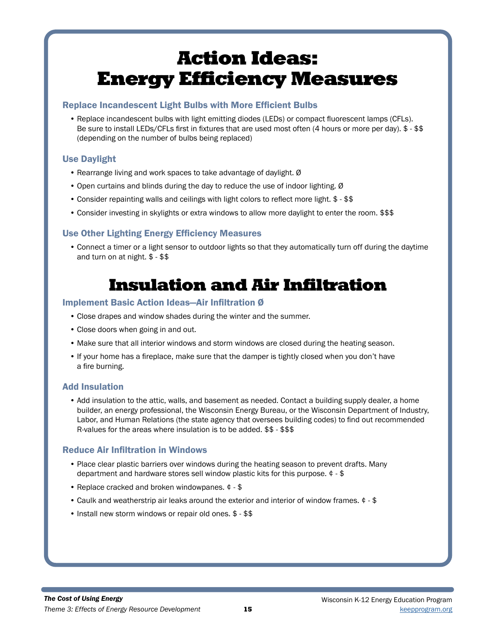### Replace Incandescent Light Bulbs with More Efficient Bulbs

• Replace incandescent bulbs with light emitting diodes (LEDs) or compact fluorescent lamps (CFLs). Be sure to install LEDs/CFLs first in fixtures that are used most often (4 hours or more per day). \$ - \$\$ (depending on the number of bulbs being replaced)

## Use Daylight

- Rearrange living and work spaces to take advantage of daylight. Ø
- Open curtains and blinds during the day to reduce the use of indoor lighting. Ø
- Consider repainting walls and ceilings with light colors to reflect more light. \$ \$\$
- Consider investing in skylights or extra windows to allow more daylight to enter the room. \$\$\$

## Use Other Lighting Energy Efficiency Measures

• Connect a timer or a light sensor to outdoor lights so that they automatically turn off during the daytime and turn on at night. \$ - \$\$

# Insulation and Air Infiltration

### Implement Basic Action Ideas—Air Infiltration Ø

- Close drapes and window shades during the winter and the summer.
- Close doors when going in and out.
- Make sure that all interior windows and storm windows are closed during the heating season.
- If your home has a fireplace, make sure that the damper is tightly closed when you don't have a fire burning.

## Add Insulation

• Add insulation to the attic, walls, and basement as needed. Contact a building supply dealer, a home builder, an energy professional, the Wisconsin Energy Bureau, or the Wisconsin Department of Industry, Labor, and Human Relations (the state agency that oversees building codes) to find out recommended R-values for the areas where insulation is to be added. \$\$ - \$\$\$

## Reduce Air Infiltration in Windows

- Place clear plastic barriers over windows during the heating season to prevent drafts. Many department and hardware stores sell window plastic kits for this purpose. ¢ - \$
- Replace cracked and broken windowpanes. ¢ \$
- Caulk and weatherstrip air leaks around the exterior and interior of window frames. ¢ \$
- Install new storm windows or repair old ones. \$ \$\$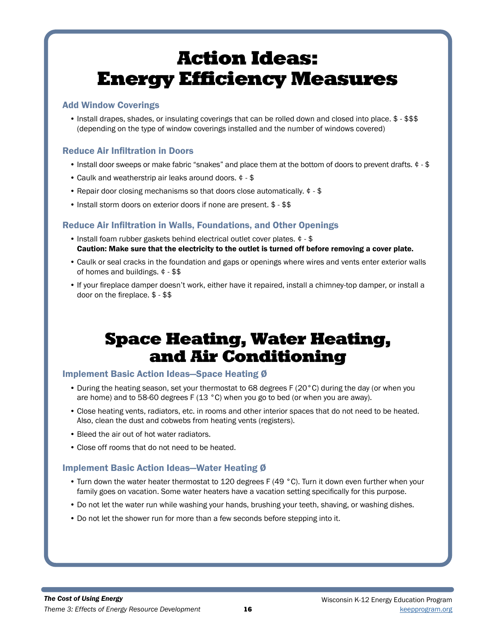### Add Window Coverings

• Install drapes, shades, or insulating coverings that can be rolled down and closed into place. \$ - \$\$\$ (depending on the type of window coverings installed and the number of windows covered)

## Reduce Air Infiltration in Doors

- Install door sweeps or make fabric "snakes" and place them at the bottom of doors to prevent drafts. ¢ \$
- Caulk and weatherstrip air leaks around doors. ¢ \$
- Repair door closing mechanisms so that doors close automatically. ¢ \$
- Install storm doors on exterior doors if none are present. \$ \$\$

### Reduce Air Infiltration in Walls, Foundations, and Other Openings

- Install foam rubber gaskets behind electrical outlet cover plates. ¢ \$ Caution: Make sure that the electricity to the outlet is turned off before removing a cover plate.
- Caulk or seal cracks in the foundation and gaps or openings where wires and vents enter exterior walls of homes and buildings. ¢ - \$\$
- If your fireplace damper doesn't work, either have it repaired, install a chimney-top damper, or install a door on the fireplace. \$ - \$\$

# Space Heating, Water Heating, and Air Conditioning

### Implement Basic Action Ideas—Space Heating Ø

- During the heating season, set your thermostat to 68 degrees F (20°C) during the day (or when you are home) and to 58-60 degrees F (13 °C) when you go to bed (or when you are away).
- Close heating vents, radiators, etc. in rooms and other interior spaces that do not need to be heated. Also, clean the dust and cobwebs from heating vents (registers).
- Bleed the air out of hot water radiators.
- Close off rooms that do not need to be heated.

### Implement Basic Action Ideas—Water Heating Ø

- Turn down the water heater thermostat to 120 degrees F (49 °C). Turn it down even further when your family goes on vacation. Some water heaters have a vacation setting specifically for this purpose.
- Do not let the water run while washing your hands, brushing your teeth, shaving, or washing dishes.
- Do not let the shower run for more than a few seconds before stepping into it.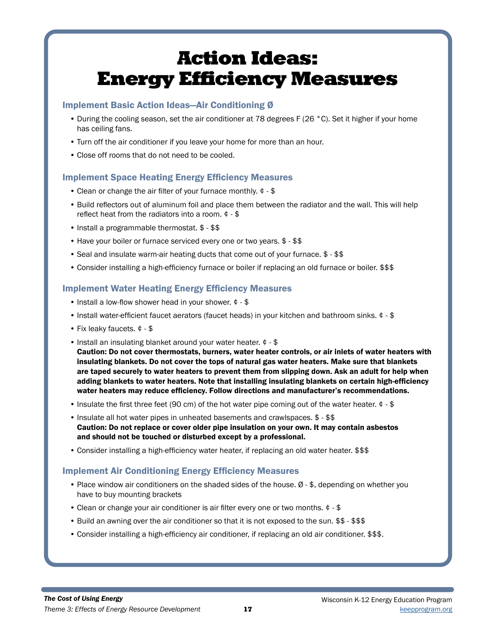### Implement Basic Action Ideas—Air Conditioning Ø

- During the cooling season, set the air conditioner at 78 degrees F (26 °C). Set it higher if your home has ceiling fans.
- Turn off the air conditioner if you leave your home for more than an hour.
- Close off rooms that do not need to be cooled.

## Implement Space Heating Energy Efficiency Measures

- Clean or change the air filter of your furnace monthly. ¢ \$
- Build reflectors out of aluminum foil and place them between the radiator and the wall. This will help reflect heat from the radiators into a room. ¢ - \$
- Install a programmable thermostat. \$ \$\$
- Have your boiler or furnace serviced every one or two years. \$ \$\$
- Seal and insulate warm-air heating ducts that come out of your furnace. \$ \$\$
- Consider installing a high-efficiency furnace or boiler if replacing an old furnace or boiler. \$\$\$

## Implement Water Heating Energy Efficiency Measures

- Install a low-flow shower head in your shower. ¢ \$
- Install water-efficient faucet aerators (faucet heads) in your kitchen and bathroom sinks. ¢ \$
- Fix leaky faucets. ¢ \$
- Install an insulating blanket around your water heater. ¢ \$ Caution: Do not cover thermostats, burners, water heater controls, or air inlets of water heaters with insulating blankets. Do not cover the tops of natural gas water heaters. Make sure that blankets are taped securely to water heaters to prevent them from slipping down. Ask an adult for help when adding blankets to water heaters. Note that installing insulating blankets on certain high-efficiency water heaters may reduce efficiency. Follow directions and manufacturer's recommendations.
- Insulate the first three feet (90 cm) of the hot water pipe coming out of the water heater.  $\phi$  \$
- Insulate all hot water pipes in unheated basements and crawlspaces. \$ \$\$ Caution: Do not replace or cover older pipe insulation on your own. It may contain asbestos and should not be touched or disturbed except by a professional.
- Consider installing a high-efficiency water heater, if replacing an old water heater. \$\$\$

## Implement Air Conditioning Energy Efficiency Measures

- Place window air conditioners on the shaded sides of the house. Ø \$, depending on whether you have to buy mounting brackets
- Clean or change your air conditioner is air filter every one or two months. ¢ \$
- Build an awning over the air conditioner so that it is not exposed to the sun. \$\$ \$\$\$
- Consider installing a high-efficiency air conditioner, if replacing an old air conditioner. \$\$\$.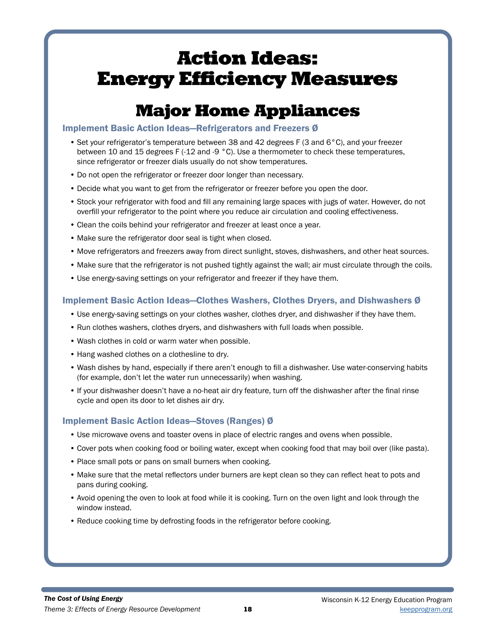# Major Home Appliances

### Implement Basic Action Ideas—Refrigerators and Freezers Ø

- Set your refrigerator's temperature between 38 and 42 degrees F (3 and 6°C), and your freezer between 10 and 15 degrees F (-12 and -9 °C). Use a thermometer to check these temperatures, since refrigerator or freezer dials usually do not show temperatures.
- Do not open the refrigerator or freezer door longer than necessary.
- Decide what you want to get from the refrigerator or freezer before you open the door.
- Stock your refrigerator with food and fill any remaining large spaces with jugs of water. However, do not overfill your refrigerator to the point where you reduce air circulation and cooling effectiveness.
- Clean the coils behind your refrigerator and freezer at least once a year.
- Make sure the refrigerator door seal is tight when closed.
- Move refrigerators and freezers away from direct sunlight, stoves, dishwashers, and other heat sources.
- Make sure that the refrigerator is not pushed tightly against the wall; air must circulate through the coils.
- Use energy-saving settings on your refrigerator and freezer if they have them.

## Implement Basic Action Ideas—Clothes Washers, Clothes Dryers, and Dishwashers Ø

- Use energy-saving settings on your clothes washer, clothes dryer, and dishwasher if they have them.
- Run clothes washers, clothes dryers, and dishwashers with full loads when possible.
- Wash clothes in cold or warm water when possible.
- Hang washed clothes on a clothesline to dry.
- Wash dishes by hand, especially if there aren't enough to fill a dishwasher. Use water-conserving habits (for example, don't let the water run unnecessarily) when washing.
- If your dishwasher doesn't have a no-heat air dry feature, turn off the dishwasher after the final rinse cycle and open its door to let dishes air dry.

# Implement Basic Action Ideas—Stoves (Ranges) Ø

- Use microwave ovens and toaster ovens in place of electric ranges and ovens when possible.
- Cover pots when cooking food or boiling water, except when cooking food that may boil over (like pasta).
- Place small pots or pans on small burners when cooking.
- Make sure that the metal reflectors under burners are kept clean so they can reflect heat to pots and pans during cooking.
- Avoid opening the oven to look at food while it is cooking. Turn on the oven light and look through the window instead.
- Reduce cooking time by defrosting foods in the refrigerator before cooking.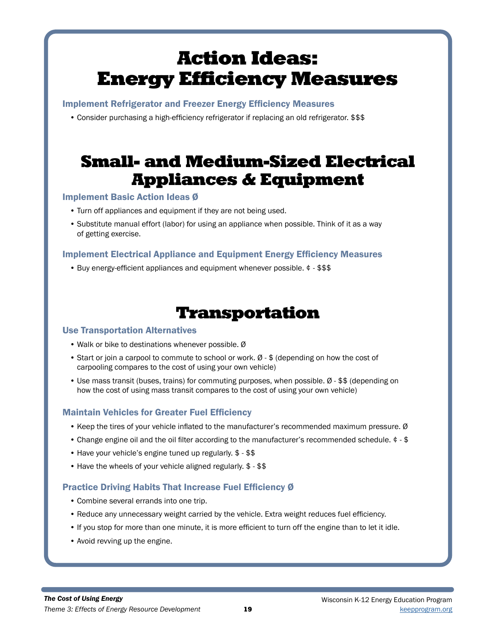Implement Refrigerator and Freezer Energy Efficiency Measures

• Consider purchasing a high-efficiency refrigerator if replacing an old refrigerator. \$\$\$

# Small- and Medium-Sized Electrical Appliances & Equipment

## Implement Basic Action Ideas Ø

- Turn off appliances and equipment if they are not being used.
- Substitute manual effort (labor) for using an appliance when possible. Think of it as a way of getting exercise.

## Implement Electrical Appliance and Equipment Energy Efficiency Measures

• Buy energy-efficient appliances and equipment whenever possible. ¢ - \$\$\$

# Transportation

### Use Transportation Alternatives

- Walk or bike to destinations whenever possible. Ø
- Start or join a carpool to commute to school or work. Ø \$ (depending on how the cost of carpooling compares to the cost of using your own vehicle)
- Use mass transit (buses, trains) for commuting purposes, when possible. Ø \$\$ (depending on how the cost of using mass transit compares to the cost of using your own vehicle)

## Maintain Vehicles for Greater Fuel Efficiency

- Keep the tires of your vehicle inflated to the manufacturer's recommended maximum pressure. Ø
- Change engine oil and the oil filter according to the manufacturer's recommended schedule. ¢ \$
- Have your vehicle's engine tuned up regularly. \$ \$\$
- Have the wheels of your vehicle aligned regularly. \$ \$\$

# Practice Driving Habits That Increase Fuel Efficiency Ø

- Combine several errands into one trip.
- Reduce any unnecessary weight carried by the vehicle. Extra weight reduces fuel efficiency.
- If you stop for more than one minute, it is more efficient to turn off the engine than to let it idle.
- Avoid revving up the engine.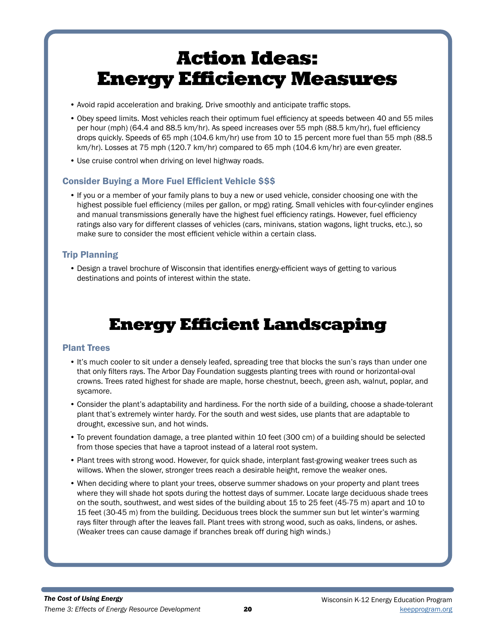- Avoid rapid acceleration and braking. Drive smoothly and anticipate traffic stops.
- Obey speed limits. Most vehicles reach their optimum fuel efficiency at speeds between 40 and 55 miles per hour (mph) (64.4 and 88.5 km/hr). As speed increases over 55 mph (88.5 km/hr), fuel efficiency drops quickly. Speeds of 65 mph (104.6 km/hr) use from 10 to 15 percent more fuel than 55 mph (88.5 km/hr). Losses at 75 mph (120.7 km/hr) compared to 65 mph (104.6 km/hr) are even greater.
- Use cruise control when driving on level highway roads.

## Consider Buying a More Fuel Efficient Vehicle \$\$\$

• If you or a member of your family plans to buy a new or used vehicle, consider choosing one with the highest possible fuel efficiency (miles per gallon, or mpg) rating. Small vehicles with four-cylinder engines and manual transmissions generally have the highest fuel efficiency ratings. However, fuel efficiency ratings also vary for different classes of vehicles (cars, minivans, station wagons, light trucks, etc.), so make sure to consider the most efficient vehicle within a certain class.

## Trip Planning

• Design a travel brochure of Wisconsin that identifies energy-efficient ways of getting to various destinations and points of interest within the state.

# Energy Efficient Landscaping

## Plant Trees

- It's much cooler to sit under a densely leafed, spreading tree that blocks the sun's rays than under one that only filters rays. The Arbor Day Foundation suggests planting trees with round or horizontal-oval crowns. Trees rated highest for shade are maple, horse chestnut, beech, green ash, walnut, poplar, and sycamore.
- Consider the plant's adaptability and hardiness. For the north side of a building, choose a shade-tolerant plant that's extremely winter hardy. For the south and west sides, use plants that are adaptable to drought, excessive sun, and hot winds.
- To prevent foundation damage, a tree planted within 10 feet (300 cm) of a building should be selected from those species that have a taproot instead of a lateral root system.
- Plant trees with strong wood. However, for quick shade, interplant fast-growing weaker trees such as willows. When the slower, stronger trees reach a desirable height, remove the weaker ones.
- When deciding where to plant your trees, observe summer shadows on your property and plant trees where they will shade hot spots during the hottest days of summer. Locate large deciduous shade trees on the south, southwest, and west sides of the building about 15 to 25 feet (45-75 m) apart and 10 to 15 feet (30-45 m) from the building. Deciduous trees block the summer sun but let winter's warming rays filter through after the leaves fall. Plant trees with strong wood, such as oaks, lindens, or ashes. (Weaker trees can cause damage if branches break off during high winds.)